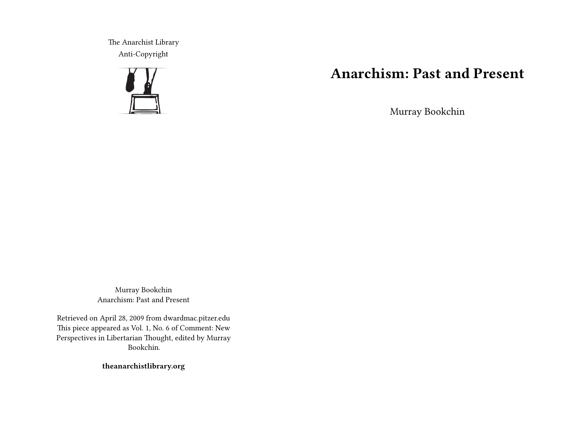The Anarchist Library Anti-Copyright



## **Anarchism: Past and Present**

Murray Bookchin

Murray Bookchin Anarchism: Past and Present

Retrieved on April 28, 2009 from dwardmac.pitzer.edu This piece appeared as Vol. 1, No. 6 of Comment: New Perspectives in Libertarian Thought, edited by Murray Bookchin.

**theanarchistlibrary.org**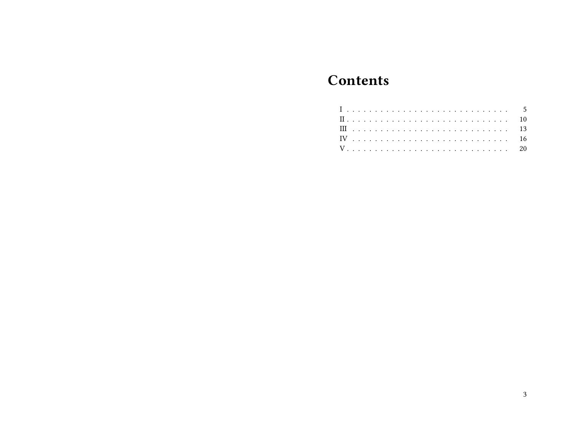# **Contents**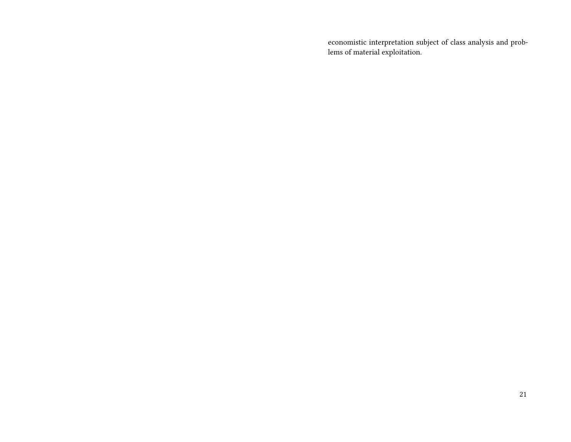economistic interpretation subject of class analysis and problems of material exploitation.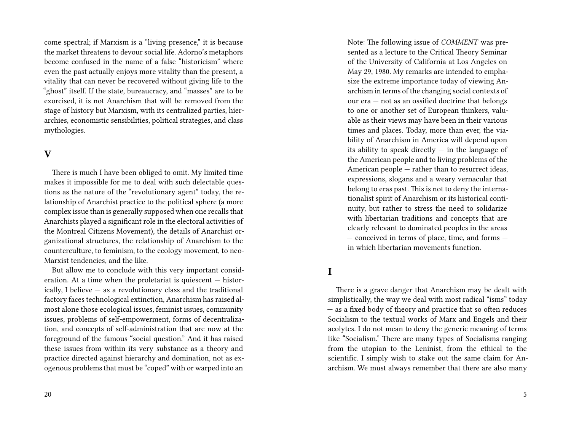come spectral; if Marxism is a "living presence," it is because the market threatens to devour social life. Adorno's metaphors become confused in the name of a false "historicism" where even the past actually enjoys more vitality than the present, a vitality that can never be recovered without giving life to the "ghost" itself. If the state, bureaucracy, and "masses" are to be exorcised, it is not Anarchism that will be removed from the stage of history but Marxism, with its centralized parties, hierarchies, economistic sensibilities, political strategies, and class mythologies.

## **V**

There is much I have been obliged to omit. My limited time makes it impossible for me to deal with such delectable questions as the nature of the "revolutionary agent" today, the relationship of Anarchist practice to the political sphere (a more complex issue than is generally supposed when one recalls that Anarchists played a significant role in the electoral activities of the Montreal Citizens Movement), the details of Anarchist organizational structures, the relationship of Anarchism to the counterculture, to feminism, to the ecology movement, to neo-Marxist tendencies, and the like.

But allow me to conclude with this very important consideration. At a time when the proletariat is quiescent — historically, I believe — as a revolutionary class and the traditional factory faces technological extinction, Anarchism has raised almost alone those ecological issues, feminist issues, community issues, problems of self-empowerment, forms of decentralization, and concepts of self-administration that are now at the foreground of the famous "social question." And it has raised these issues from within its very substance as a theory and practice directed against hierarchy and domination, not as exogenous problems that must be "coped" with or warped into an

Note: The following issue of *COMMENT* was presented as a lecture to the Critical Theory Seminar of the University of California at Los Angeles on May 29, 1980. My remarks are intended to emphasize the extreme importance today of viewing Anarchism in terms of the changing social contexts of our era — not as an ossified doctrine that belongs to one or another set of European thinkers, valuable as their views may have been in their various times and places. Today, more than ever, the viability of Anarchism in America will depend upon its ability to speak directly  $-$  in the language of the American people and to living problems of the American people — rather than to resurrect ideas, expressions, slogans and a weary vernacular that belong to eras past. This is not to deny the internationalist spirit of Anarchism or its historical continuity, but rather to stress the need to solidarize with libertarian traditions and concepts that are clearly relevant to dominated peoples in the areas — conceived in terms of place, time, and forms in which libertarian movements function.

#### **I**

There is a grave danger that Anarchism may be dealt with simplistically, the way we deal with most radical "isms" today — as a fixed body of theory and practice that so often reduces Socialism to the textual works of Marx and Engels and their acolytes. I do not mean to deny the generic meaning of terms like "Socialism." There are many types of Socialisms ranging from the utopian to the Leninist, from the ethical to the scientific. I simply wish to stake out the same claim for Anarchism. We must always remember that there are also many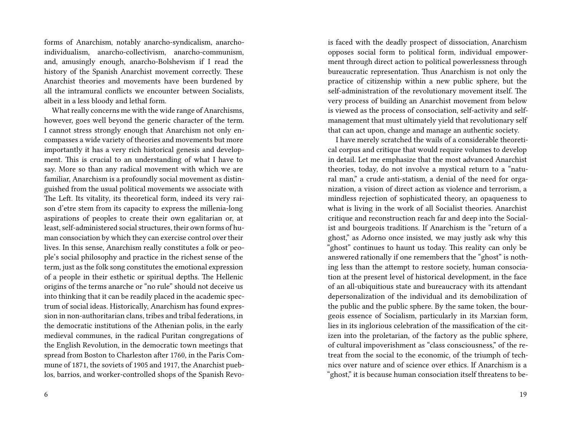forms of Anarchism, notably anarcho-syndicalism, anarchoindividualism, anarcho-collectivism, anarcho-communism, and, amusingly enough, anarcho-Bolshevism if I read the history of the Spanish Anarchist movement correctly. These Anarchist theories and movements have been burdened by all the intramural conflicts we encounter between Socialists, albeit in a less bloody and lethal form.

What really concerns me with the wide range of Anarchisms, however, goes well beyond the generic character of the term. I cannot stress strongly enough that Anarchism not only encompasses a wide variety of theories and movements but more importantly it has a very rich historical genesis and development. This is crucial to an understanding of what I have to say. More so than any radical movement with which we are familiar, Anarchism is a profoundly social movement as distinguished from the usual political movements we associate with The Left. Its vitality, its theoretical form, indeed its very raison d'etre stem from its capacity to express the millenia-long aspirations of peoples to create their own egalitarian or, at least, self-administered social structures, their own forms of human consociation by which they can exercise control over their lives. In this sense, Anarchism really constitutes a folk or people's social philosophy and practice in the richest sense of the term, just as the folk song constitutes the emotional expression of a people in their esthetic or spiritual depths. The Hellenic origins of the terms anarche or "no rule" should not deceive us into thinking that it can be readily placed in the academic spectrum of social ideas. Historically, Anarchism has found expression in non-authoritarian clans, tribes and tribal federations, in the democratic institutions of the Athenian polis, in the early medieval communes, in the radical Puritan congregations of the English Revolution, in the democratic town meetings that spread from Boston to Charleston after 1760, in the Paris Commune of 1871, the soviets of 1905 and 1917, the Anarchist pueblos, barrios, and worker-controlled shops of the Spanish Revois faced with the deadly prospect of dissociation, Anarchism opposes social form to political form, individual empowerment through direct action to political powerlessness through bureaucratic representation. Thus Anarchism is not only the practice of citizenship within a new public sphere, but the self-administration of the revolutionary movement itself. The very process of building an Anarchist movement from below is viewed as the process of consociation, self-activity and selfmanagement that must ultimately yield that revolutionary self that can act upon, change and manage an authentic society.

I have merely scratched the wails of a considerable theoretical corpus and critique that would require volumes to develop in detail. Let me emphasize that the most advanced Anarchist theories, today, do not involve a mystical return to a "natural man," a crude anti-statism, a denial of the need for organization, a vision of direct action as violence and terrorism, a mindless rejection of sophisticated theory, an opaqueness to what is living in the work of all Socialist theories. Anarchist critique and reconstruction reach far and deep into the Socialist and bourgeois traditions. If Anarchism is the "return of a ghost," as Adorno once insisted, we may justly ask why this "ghost" continues to haunt us today. This reality can only be answered rationally if one remembers that the "ghost" is nothing less than the attempt to restore society, human consociation at the present level of historical development, in the face of an all-ubiquitious state and bureaucracy with its attendant depersonalization of the individual and its demobilization of the public and the public sphere. By the same token, the bourgeois essence of Socialism, particularly in its Marxian form, lies in its inglorious celebration of the massification of the citizen into the proletarian, of the factory as the public sphere, of cultural impoverishment as "class consciousness," of the retreat from the social to the economic, of the triumph of technics over nature and of science over ethics. If Anarchism is a "ghost," it is because human consociation itself threatens to be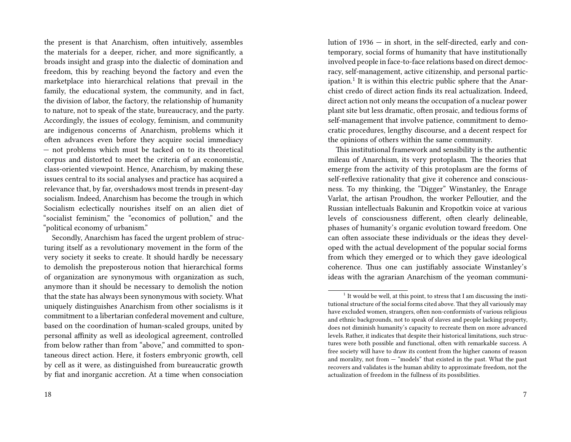the present is that Anarchism, often intuitively, assembles the materials for a deeper, richer, and more significantly, a broads insight and grasp into the dialectic of domination and freedom, this by reaching beyond the factory and even the marketplace into hierarchical relations that prevail in the family, the educational system, the community, and in fact, the division of labor, the factory, the relationship of humanity to nature, not to speak of the state, bureaucracy, and the party. Accordingly, the issues of ecology, feminism, and community are indigenous concerns of Anarchism, problems which it often advances even before they acquire social immediacy — not problems which must be tacked on to its theoretical corpus and distorted to meet the criteria of an economistic, class-oriented viewpoint. Hence, Anarchism, by making these issues central to its social analyses and practice has acquired a relevance that, by far, overshadows most trends in present-day socialism. Indeed, Anarchism has become the trough in which Socialism eclectically nourishes itself on an alien diet of "socialist feminism," the "economics of pollution," and the "political economy of urbanism."

Secondly, Anarchism has faced the urgent problem of structuring itself as a revolutionary movement in the form of the very society it seeks to create. It should hardly be necessary to demolish the preposterous notion that hierarchical forms of organization are synonymous with organization as such, anymore than it should be necessary to demolish the notion that the state has always been synonymous with society. What uniquely distinguishes Anarchism from other socialisms is it commitment to a libertarian confederal movement and culture, based on the coordination of human-scaled groups, united by personal affinity as well as ideological agreement, controlled from below rather than from "above," and committed to spontaneous direct action. Here, it fosters embryonic growth, cell by cell as it were, as distinguished from bureaucratic growth by fiat and inorganic accretion. At a time when consociation

lution of 1936 — in short, in the self-directed, early and contemporary, social forms of humanity that have institutionally involved people in face-to-face relations based on direct democracy, self-management, active citizenship, and personal participation.<sup>1</sup> It is within this electric public sphere that the Anarchist credo of direct action finds its real actualization. Indeed, direct action not only means the occupation of a nuclear power plant site but less dramatic, often prosaic, and tedious forms of self-management that involve patience, commitment to democratic procedures, lengthy discourse, and a decent respect for the opinions of others within the same community.

This institutional framework and sensibility is the authentic mileau of Anarchism, its very protoplasm. The theories that emerge from the activity of this protoplasm are the forms of self-reflexive rationality that give it coherence and consciousness. To my thinking, the "Digger" Winstanley, the Enrage Varlat, the artisan Proudhon, the worker Pelloutier, and the Russian intellectuals Bakunin and Kropotkin voice at various levels of consciousness different, often clearly delineable, phases of humanity's organic evolution toward freedom. One can often associate these individuals or the ideas they developed with the actual development of the popular social forms from which they emerged or to which they gave ideological coherence. Thus one can justifiably associate Winstanley's ideas with the agrarian Anarchism of the yeoman communi-

 $1$  It would be well, at this point, to stress that I am discussing the institutional structure of the social forms cited above. That they all variously may have excluded women, strangers, often non-conformists of various religious and ethnic backgrounds, not to speak of slaves and people lacking property, does not diminish humanity's capacity to recreate them on more advanced levels. Rather, it indicates that despite their historical limitations, such structures were both possible and functional, often with remarkable success. A free society will have to draw its content from the higher canons of reason and morality, not from — "models" that existed in the past. What the past recovers and validates is the human ability to approximate freedom, not the actualization of freedom in the fullness of its possibilities.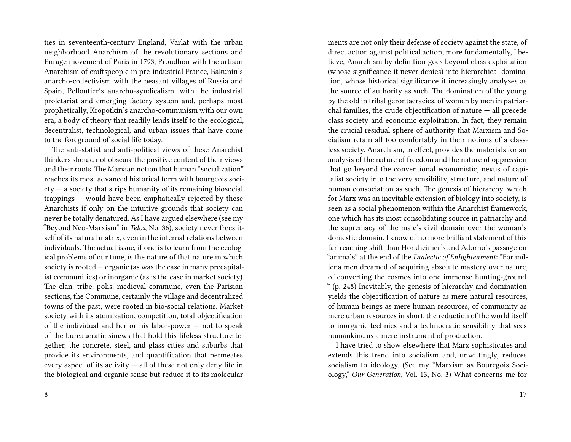ties in seventeenth-century England, Varlat with the urban neighborhood Anarchism of the revolutionary sections and Enrage movement of Paris in 1793, Proudhon with the artisan Anarchism of craftspeople in pre-industrial France, Bakunin's anarcho-collectivism with the peasant villages of Russia and Spain, Pelloutier's anarcho-syndicalism, with the industrial proletariat and emerging factory system and, perhaps most prophetically, Kropotkin's anarcho-communism with our own era, a body of theory that readily lends itself to the ecological, decentralist, technological, and urban issues that have come to the foreground of social life today.

The anti-statist and anti-political views of these Anarchist thinkers should not obscure the positive content of their views and their roots. The Marxian notion that human "socialization" reaches its most advanced historical form with bourgeois soci $ety - a$  society that strips humanity of its remaining biosocial trappings — would have been emphatically rejected by these Anarchists if only on the intuitive grounds that society can never be totally denatured. As I have argued elsewhere (see my "Beyond Neo-Marxism" in *Telos*, No. 36), society never frees itself of its natural matrix, even in the internal relations between individuals. The actual issue, if one is to learn from the ecological problems of our time, is the nature of that nature in which society is rooted — organic (as was the case in many precapitalist communities) or inorganic (as is the case in market society). The clan, tribe, polis, medieval commune, even the Parisian sections, the Commune, certainly the village and decentralized towns of the past, were rooted in bio-social relations. Market society with its atomization, competition, total objectification of the individual and her or his labor-power — not to speak of the bureaucratic sinews that hold this lifeless structure together, the concrete, steel, and glass cities and suburbs that provide its environments, and quantification that permeates every aspect of its activity  $-$  all of these not only deny life in the biological and organic sense but reduce it to its molecular

ments are not only their defense of society against the state, of direct action against political action; more fundamentally, I believe, Anarchism by definition goes beyond class exploitation (whose significance it never denies) into hierarchical domination, whose historical significance it increasingly analyzes as the source of authority as such. The domination of the young by the old in tribal gerontacracies, of women by men in patriarchal families, the crude objectification of nature — all precede class society and economic exploitation. In fact, they remain the crucial residual sphere of authority that Marxism and Socialism retain all too comfortably in their notions of a classless society. Anarchism, in effect, provides the materials for an analysis of the nature of freedom and the nature of oppression that go beyond the conventional economistic, nexus of capitalist society into the very sensibility, structure, and nature of human consociation as such. The genesis of hierarchy, which for Marx was an inevitable extension of biology into society, is seen as a social phenomenon within the Anarchist framework, one which has its most consolidating source in patriarchy and the supremacy of the male's civil domain over the woman's domestic domain. I know of no more brilliant statement of this far-reaching shift than Horkheimer's and Adorno's passage on "animals" at the end of the *Dialectic of Enlightenment*: "For millena men dreamed of acquiring absolute mastery over nature, of converting the cosmos into one immense hunting-ground. " (p. 248) Inevitably, the genesis of hierarchy and domination yields the objectification of nature as mere natural resources, of human beings as mere human resources, of community as mere urban resources in short, the reduction of the world itself to inorganic technics and a technocratic sensibility that sees humankind as a mere instrument of production.

I have tried to show elsewhere that Marx sophisticates and extends this trend into socialism and, unwittingly, reduces socialism to ideology. (See my "Marxism as Bouregois Sociology," *Our Generation*, Vol. 13, No. 3) What concerns me for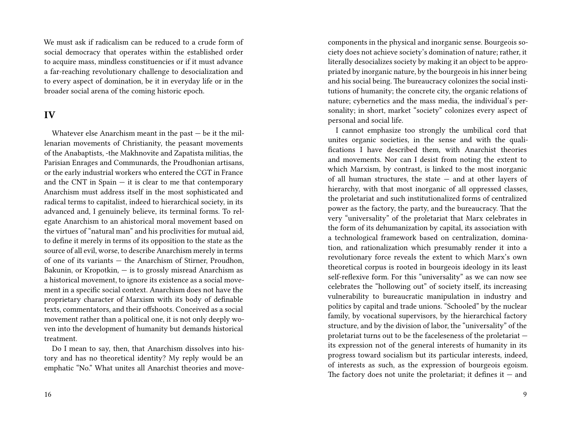We must ask if radicalism can be reduced to a crude form of social democracy that operates within the established order to acquire mass, mindless constituencies or if it must advance a far-reaching revolutionary challenge to desocialization and to every aspect of domination, be it in everyday life or in the broader social arena of the coming historic epoch.

### **IV**

Whatever else Anarchism meant in the past — be it the millenarian movements of Christianity, the peasant movements of the Anabaptists, -the Makhnovite and Zapatista militias, the Parisian Enrages and Communards, the Proudhonian artisans, or the early industrial workers who entered the CGT in France and the CNT in  $Spin - it$  is clear to me that contemporary Anarchism must address itself in the most sophisticated and radical terms to capitalist, indeed to hierarchical society, in its advanced and, I genuinely believe, its terminal forms. To relegate Anarchism to an ahistorical moral movement based on the virtues of "natural man" and his proclivities for mutual aid, to define it merely in terms of its opposition to the state as the source of all evil, worse, to describe Anarchism merely in terms of one of its variants — the Anarchism of Stirner, Proudhon, Bakunin, or Kropotkin, — is to grossly misread Anarchism as a historical movement, to ignore its existence as a social movement in a specific social context. Anarchism does not have the proprietary character of Marxism with its body of definable texts, commentators, and their offshoots. Conceived as a social movement rather than a political one, it is not only deeply woven into the development of humanity but demands historical treatment.

Do I mean to say, then, that Anarchism dissolves into history and has no theoretical identity? My reply would be an emphatic "No." What unites all Anarchist theories and movecomponents in the physical and inorganic sense. Bourgeois society does not achieve society's domination of nature; rather, it literally desocializes society by making it an object to be appropriated by inorganic nature, by the bourgeois in his inner being and his social being. The bureaucracy colonizes the social institutions of humanity; the concrete city, the organic relations of nature; cybernetics and the mass media, the individual's personality; in short, market "society" colonizes every aspect of personal and social life.

I cannot emphasize too strongly the umbilical cord that unites organic societies, in the sense and with the qualifications I have described them, with Anarchist theories and movements. Nor can I desist from noting the extent to which Marxism, by contrast, is linked to the most inorganic of all human structures, the state — and at other layers of hierarchy, with that most inorganic of all oppressed classes, the proletariat and such institutionalized forms of centralized power as the factory, the party, and the bureaucracy. That the very "universality" of the proletariat that Marx celebrates in the form of its dehumanization by capital, its association with a technological framework based on centralization, domination, and rationalization which presumably render it into a revolutionary force reveals the extent to which Marx's own theoretical corpus is rooted in bourgeois ideology in its least self-reflexive form. For this "universality" as we can now see celebrates the "hollowing out" of society itself, its increasing vulnerability to bureaucratic manipulation in industry and politics by capital and trade unions. "Schooled" by the nuclear family, by vocational supervisors, by the hierarchical factory structure, and by the division of labor, the "universality" of the proletariat turns out to be the faceleseness of the proletariat its expression not of the general interests of humanity in its progress toward socialism but its particular interests, indeed, of interests as such, as the expression of bourgeois egoism. The factory does not unite the proletariat; it defines it  $-$  and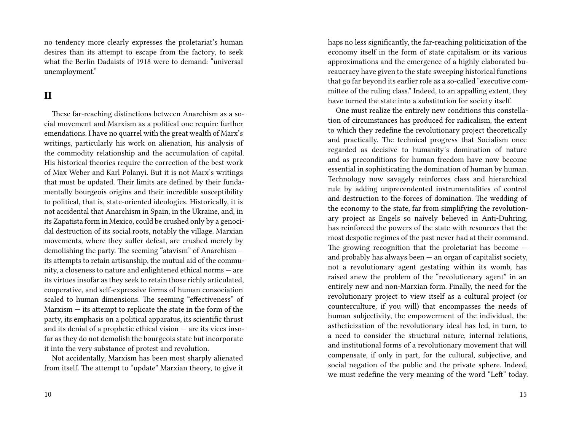no tendency more clearly expresses the proletariat's human desires than its attempt to escape from the factory, to seek what the Berlin Dadaists of 1918 were to demand: "universal unemployment."

## **II**

These far-reaching distinctions between Anarchism as a social movement and Marxism as a political one require further emendations. I have no quarrel with the great wealth of Marx's writings, particularly his work on alienation, his analysis of the commodity relationship and the accumulation of capital. His historical theories require the correction of the best work of Max Weber and Karl Polanyi. But it is not Marx's writings that must be updated. Their limits are defined by their fundamentally bourgeois origins and their incredible susceptibility to political, that is, state-oriented ideologies. Historically, it is not accidental that Anarchism in Spain, in the Ukraine, and, in its Zapatista form in Mexico, could be crushed only by a genocidal destruction of its social roots, notably the village. Marxian movements, where they suffer defeat, are crushed merely by demolishing the party. The seeming "atavism" of Anarchism its attempts to retain artisanship, the mutual aid of the community, a closeness to nature and enlightened ethical norms — are its virtues insofar as they seek to retain those richly articulated, cooperative, and self-expressive forms of human consociation scaled to human dimensions. The seeming "effectiveness" of Marxism — its attempt to replicate the state in the form of the party, its emphasis on a political apparatus, its scientific thrust and its denial of a prophetic ethical vision — are its vices insofar as they do not demolish the bourgeois state but incorporate it into the very substance of protest and revolution.

Not accidentally, Marxism has been most sharply alienated from itself. The attempt to "update" Marxian theory, to give it haps no less significantly, the far-reaching politicization of the economy itself in the form of state capitalism or its various approximations and the emergence of a highly elaborated bureaucracy have given to the state sweeping historical functions that go far beyond its earlier role as a so-called "executive committee of the ruling class." Indeed, to an appalling extent, they have turned the state into a substitution for society itself.

One must realize the entirely new conditions this constellation of circumstances has produced for radicalism, the extent to which they redefine the revolutionary project theoretically and practically. The technical progress that Socialism once regarded as decisive to humanity's domination of nature and as preconditions for human freedom have now become essential in sophisticating the domination of human by human. Technology now savagely reinforces class and hierarchical rule by adding unprecendented instrumentalities of control and destruction to the forces of domination. The wedding of the economy to the state, far from simplifying the revolutionary project as Engels so naively believed in Anti-Duhring, has reinforced the powers of the state with resources that the most despotic regimes of the past never had at their command. The growing recognition that the proletariat has become and probably has always been — an organ of capitalist society, not a revolutionary agent gestating within its womb, has raised anew the problem of the "revolutionary agent" in an entirely new and non-Marxian form. Finally, the need for the revolutionary project to view itself as a cultural project (or counterculture, if you will) that encompasses the needs of human subjectivity, the empowerment of the individual, the astheticization of the revolutionary ideal has led, in turn, to a need to consider the structural nature, internal relations, and institutional forms of a revolutionary movement that will compensate, if only in part, for the cultural, subjective, and social negation of the public and the private sphere. Indeed, we must redefine the very meaning of the word "Left" today.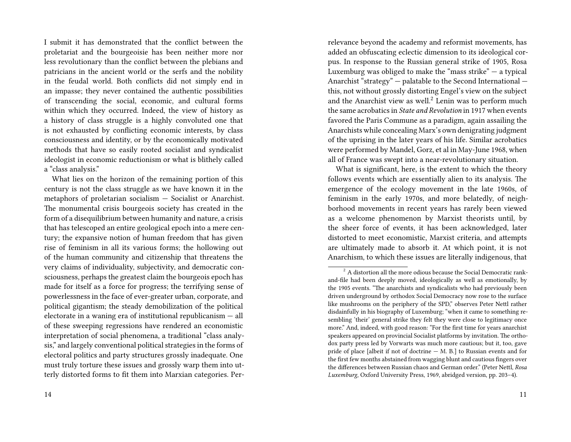I submit it has demonstrated that the conflict between the proletariat and the bourgeoisie has been neither more nor less revolutionary than the conflict between the plebians and patricians in the ancient world or the serfs and the nobility in the feudal world. Both conflicts did not simply end in an impasse; they never contained the authentic possibilities of transcending the social, economic, and cultural forms within which they occurred. Indeed, the view of history as a history of class struggle is a highly convoluted one that is not exhausted by conflicting economic interests, by class consciousness and identity, or by the economically motivated methods that have so easily rooted socialist and syndicalist ideologist in economic reductionism or what is blithely called a "class analysis."

What lies on the horizon of the remaining portion of this century is not the class struggle as we have known it in the metaphors of proletarian socialism — Socialist or Anarchist. The monumental crisis bourgeois society has created in the form of a disequilibrium between humanity and nature, a crisis that has telescoped an entire geological epoch into a mere century; the expansive notion of human freedom that has given rise of feminism in all its various forms; the hollowing out of the human community and citizenship that threatens the very claims of individuality, subjectivity, and democratic consciousness, perhaps the greatest claim the bourgeois epoch has made for itself as a force for progress; the terrifying sense of powerlessness in the face of ever-greater urban, corporate, and political gigantism; the steady demobilization of the political electorate in a waning era of institutional republicanism — all of these sweeping regressions have rendered an economistic interpretation of social phenomena, a traditional "class analysis," and largely conventional political strategies in the forms of electoral politics and party structures grossly inadequate. One must truly torture these issues and grossly warp them into utterly distorted forms to fit them into Marxian categories. Perrelevance beyond the academy and reformist movements, has added an obfuscating eclectic dimension to its ideological corpus. In response to the Russian general strike of 1905, Rosa Luxemburg was obliged to make the "mass strike"  $-$  a typical Anarchist "strategy" — palatable to the Second International this, not without grossly distorting Engel's view on the subject and the Anarchist view as well. $^2$  Lenin was to perform much the same acrobatics in *State and Revolution* in 1917 when events favored the Paris Commune as a paradigm, again assailing the Anarchists while concealing Marx's own denigrating judgment of the uprising in the later years of his life. Similar acrobatics were performed by Mandel, Gorz, et al in May-June 1968, when all of France was swept into a near-revolutionary situation.

What is significant, here, is the extent to which the theory follows events which are essentially alien to its analysis. The emergence of the ecology movement in the late 1960s, of feminism in the early 1970s, and more belatedly, of neighborhood movements in recent years has rarely been viewed as a welcome phenomenon by Marxist theorists until, by the sheer force of events, it has been acknowledged, later distorted to meet economistic, Marxist criteria, and attempts are ultimately made to absorb it. At which point, it is not Anarchism, to which these issues are literally indigenous, that

 $^{2}$  A distortion all the more odious because the Social Democratic rankand-file had been deeply moved, ideologically as well as emotionally, by the 1905 events. "The anarchists and syndicalists who had previously been driven underground by orthodox Social Democracy now rose to the surface like mushrooms on the periphery of the SPD," observes Peter Nettl rather disdainfully in his biography of Luxemburg; "when it came to something resembling 'their' general strike they felt they were close to legitimacy once more." And, indeed, with good reason: "For the first time for years anarchist speakers appeared on provincial Socialist platforms by invitation. The orthodox party press led by Vorwarts was much more cautious; but it, too, gave pride of place [albeit if not of doctrine — M. B.] to Russian events and for the first few months abstained from wagging blunt and cautious fingers over the differences between Russian chaos and German order." (Peter Nettl, *Rosa Luxemburg*, Oxford University Press, 1969, abridged version, pp. 203–4).